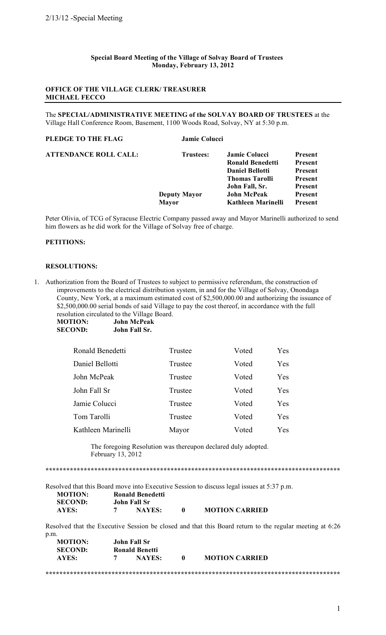#### Special Board Meeting of the Village of Solvay Board of Trustees Monday, February 13, 2012

# **OFFICE OF THE VILLAGE CLERK/TREASURER MICHAEL FECCO**

The SPECIAL/ADMINISTRATIVE MEETING of the SOLVAY BOARD OF TRUSTEES at the Village Hall Conference Room, Basement, 1100 Woods Road, Solvay, NY at 5:30 p.m.

#### PLEDGE TO THE FLAG Jamie Colucci **ATTENDANCE ROLL CALL: Trustees: Jamie Colucci Present Ronald Benedetti** Present **Daniel Bellotti** Present **Thomas Tarolli** Present John Fall, Sr. Present **Deputy Mayor John McPeak** Present **Kathleen Marinelli Mayor Present**

Peter Olivia, of TCG of Syracuse Electric Company passed away and Mayor Marinelli authorized to send him flowers as he did work for the Village of Solvay free of charge.

## PETITIONS:

## **RESOLUTIONS:**

1. Authorization from the Board of Trustees to subject to permissive referendum, the construction of improvements to the electrical distribution system, in and for the Village of Solvay, Onondaga County, New York, at a maximum estimated cost of \$2,500,000.00 and authorizing the issuance of \$2,500,000.00 serial bonds of said Village to pay the cost thereof, in accordance with the full resolution circulated to the Village Board.

**MOTION: John McPeak SECOND: John Fall Sr.** 

| Ronald Benedetti   | Trustee | Voted | Yes |
|--------------------|---------|-------|-----|
| Daniel Bellotti    | Trustee | Voted | Yes |
| John McPeak        | Trustee | Voted | Yes |
| John Fall Sr       | Trustee | Voted | Yes |
| Jamie Colucci      | Trustee | Voted | Yes |
| Tom Tarolli        | Trustee | Voted | Yes |
| Kathleen Marinelli | Mayor   | Voted | Yes |

The foregoing Resolution was thereupon declared duly adopted. February 13, 2012

Resolved that this Board move into Executive Session to discuss legal issues at 5:37 p.m. **MOTION: Ronald Benedetti SECOND:** John Fall Sr

| .     | $\mathbf{v}$ viiii in the $\mathbf{v}$ |               |  |
|-------|----------------------------------------|---------------|--|
| AYES: |                                        | <b>NAYES:</b> |  |
|       |                                        |               |  |

Resolved that the Executive Session be closed and that this Board return to the regular meeting at 6:26 p.m.

**MOTION CARRIED** 

| <b>MOTION:</b> | John Fall Sr          |                       |  |
|----------------|-----------------------|-----------------------|--|
| <b>SECOND:</b> | <b>Ronald Benetti</b> |                       |  |
| AYES:          | NAYES:                | <b>MOTION CARRIED</b> |  |
|                |                       |                       |  |